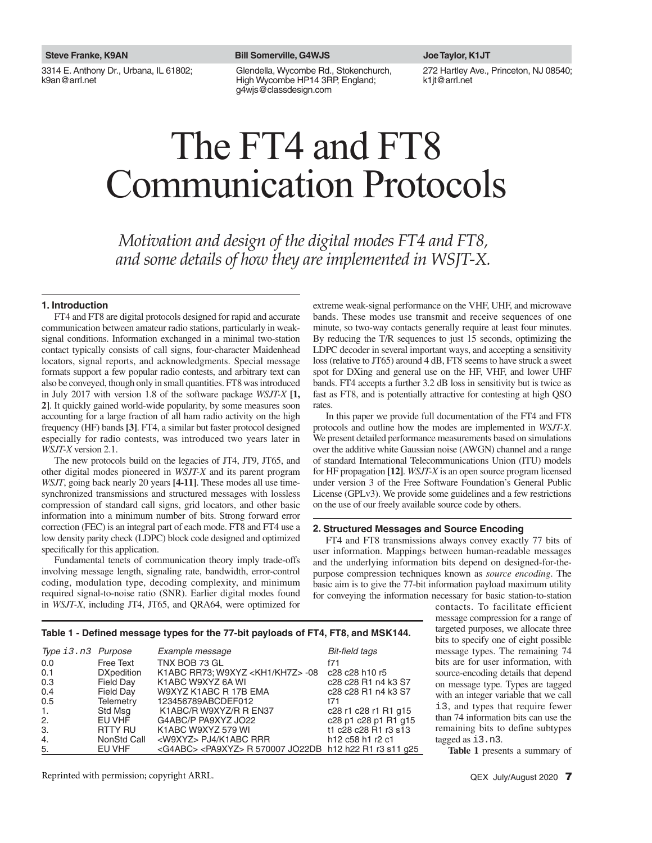3314 E. Anthony Dr., Urbana, IL 61802; k9an@arrl.net

#### **Steve Franke, K9AN Bill Somerville, G4WJS Joe Taylor, K1JT**

Glendella, Wycombe Rd., Stokenchurch, High Wycombe HP14 3RP, England; g4wjs@classdesign.com

272 Hartley Ave., Princeton, NJ 08540; k1jt@arrl.net

# The FT4 and FT8 Communication Protocols

*Motivation and design of the digital modes FT4 and FT8, and some details of how they are implemented in WSJT-X.*

### **1. Introduction**

FT4 and FT8 are digital protocols designed for rapid and accurate communication between amateur radio stations, particularly in weaksignal conditions. Information exchanged in a minimal two-station contact typically consists of call signs, four-character Maidenhead locators, signal reports, and acknowledgments. Special message formats support a few popular radio contests, and arbitrary text can also be conveyed, though only in small quantities. FT8 was introduced in July 2017 with version 1.8 of the software package *WSJT-X* **[1, 2]**. It quickly gained world-wide popularity, by some measures soon accounting for a large fraction of all ham radio activity on the high frequency (HF) bands **[3]**. FT4, a similar but faster protocol designed especially for radio contests, was introduced two years later in *WSJT-X* version 2.1.

The new protocols build on the legacies of JT4, JT9, JT65, and other digital modes pioneered in *WSJT-X* and its parent program *WSJT*, going back nearly 20 years **[4-11]**. These modes all use timesynchronized transmissions and structured messages with lossless compression of standard call signs, grid locators, and other basic information into a minimum number of bits. Strong forward error correction (FEC) is an integral part of each mode. FT8 and FT4 use a low density parity check (LDPC) block code designed and optimized specifically for this application.

Fundamental tenets of communication theory imply trade-offs involving message length, signaling rate, bandwidth, error-control coding, modulation type, decoding complexity, and minimum required signal-to-noise ratio (SNR). Earlier digital modes found in *WSJT-X*, including JT4, JT65, and QRA64, were optimized for

extreme weak-signal performance on the VHF, UHF, and microwave bands. These modes use transmit and receive sequences of one minute, so two-way contacts generally require at least four minutes. By reducing the T/R sequences to just 15 seconds, optimizing the LDPC decoder in several important ways, and accepting a sensitivity loss (relative to JT65) around 4 dB, FT8 seems to have struck a sweet spot for DXing and general use on the HF, VHF, and lower UHF bands. FT4 accepts a further 3.2 dB loss in sensitivity but is twice as fast as FT8, and is potentially attractive for contesting at high QSO rates.

In this paper we provide full documentation of the FT4 and FT8 protocols and outline how the modes are implemented in *WSJT-X*. We present detailed performance measurements based on simulations over the additive white Gaussian noise (AWGN) channel and a range of standard International Telecommunications Union (ITU) models for HF propagation **[12]**. *WSJT-X* is an open source program licensed under version 3 of the Free Software Foundation's General Public License (GPLv3). We provide some guidelines and a few restrictions on the use of our freely available source code by others.

## **2. Structured Messages and Source Encoding**

FT4 and FT8 transmissions always convey exactly 77 bits of user information. Mappings between human-readable messages and the underlying information bits depend on designed-for-thepurpose compression techniques known as *source encoding*. The basic aim is to give the 77-bit information payload maximum utility for conveying the information necessary for basic station-to-station

# Table 1 - Defined message types for the 77-bit payloads of FT4, FT8, and MSK144.

| Type i3.n3 Purpose |                   | Example message                                                         | Bit-field tags                                                               |
|--------------------|-------------------|-------------------------------------------------------------------------|------------------------------------------------------------------------------|
| 0.0                | <b>Free Text</b>  | TNX BOB 73 GL                                                           | f71                                                                          |
| 0.1                | <b>DXpedition</b> | K1ABC RR73; W9XYZ <kh1 kh7z=""> -08</kh1>                               | c28 c28 h10 r5                                                               |
| 0.3                | <b>Field Day</b>  | K1ABC W9XYZ 6A WI                                                       | c28 c28 R1 n4 k3 S7                                                          |
| 0.4                | <b>Field Day</b>  | W9XYZ K1ABC R 17B EMA                                                   | c28 c28 R1 n4 k3 S7                                                          |
| 0.5                | Telemetry         | 123456789ABCDEF012                                                      | <b>t71</b>                                                                   |
| 1.                 | Std Msg           | K1ABC/R W9XYZ/R R EN37                                                  | c28 r1 c28 r1 R1 g15                                                         |
| 2.                 | EU VHF            | G4ABC/P PA9XYZ JO22                                                     | c28 p1 c28 p1 R1 g15                                                         |
| 3.                 | RTTY RU           | K1ABC W9XYZ 579 WI                                                      | t1 c28 c28 R1 r3 s13                                                         |
| 4.                 | NonStd Call       | <w9xyz> PJ4/K1ABC RRR</w9xyz>                                           | h <sub>12</sub> c <sub>58</sub> h <sub>1</sub> r <sub>2</sub> c <sub>1</sub> |
| 5.                 | EU VHF            | <g4abc> <pa9xyz> R 570007 JO22DB h12 h22 R1 r3 s11 q25</pa9xyz></g4abc> |                                                                              |

Reprinted with permission; copyright ARRL.

**Table 1** presents a summary of

tagged as i3.n3.

contacts. To facilitate efficient message compression for a range of targeted purposes, we allocate three bits to specify one of eight possible message types. The remaining 74 bits are for user information, with source-encoding details that depend on message type. Types are tagged with an integer variable that we call i3, and types that require fewer than 74 information bits can use the remaining bits to define subtypes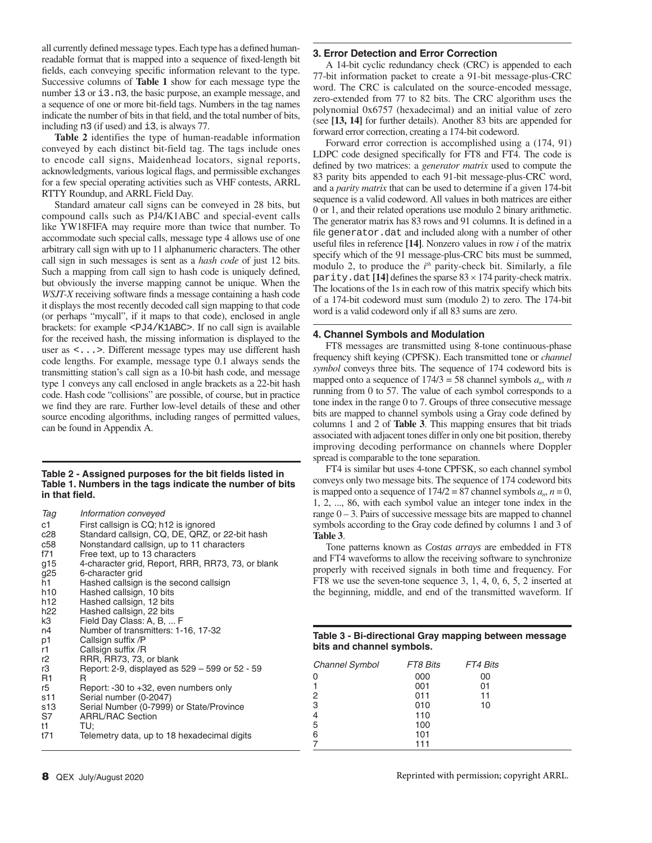all currently defined message types. Each type has a defined humanreadable format that is mapped into a sequence of fixed-length bit fields, each conveying specific information relevant to the type. Successive columns of **Table 1** show for each message type the number i3 or i3.n3, the basic purpose, an example message, and a sequence of one or more bit-field tags. Numbers in the tag names indicate the number of bits in that field, and the total number of bits, including n3 (if used) and i3, is always 77.

**Table 2** identifies the type of human-readable information conveyed by each distinct bit-field tag. The tags include ones to encode call signs, Maidenhead locators, signal reports, acknowledgments, various logical flags, and permissible exchanges for a few special operating activities such as VHF contests, ARRL RTTY Roundup, and ARRL Field Day.

Standard amateur call signs can be conveyed in 28 bits, but compound calls such as PJ4/K1ABC and special-event calls like YW18FIFA may require more than twice that number. To accommodate such special calls, message type 4 allows use of one arbitrary call sign with up to 11 alphanumeric characters. The other call sign in such messages is sent as a *hash code* of just 12 bits. Such a mapping from call sign to hash code is uniquely defined, but obviously the inverse mapping cannot be unique. When the *WSJT-X* receiving software finds a message containing a hash code it displays the most recently decoded call sign mapping to that code (or perhaps "mycall", if it maps to that code), enclosed in angle brackets: for example <PJ4/K1ABC>. If no call sign is available for the received hash, the missing information is displayed to the user as <...>. Different message types may use different hash code lengths. For example, message type 0.1 always sends the transmitting station's call sign as a 10-bit hash code, and message type 1 conveys any call enclosed in angle brackets as a 22-bit hash code. Hash code "collisions" are possible, of course, but in practice we find they are rare. Further low-level details of these and other source encoding algorithms, including ranges of permitted values, can be found in Appendix A.

# Table 2 - Assigned purposes for the bit fields listed in **Table 1. Numbers in the tags indicate the number of bits**  in that field.

| Information conveyed                               |
|----------------------------------------------------|
| First callsign is CQ; h12 is ignored               |
| Standard callsign, CQ, DE, QRZ, or 22-bit hash     |
| Nonstandard callsign, up to 11 characters          |
| Free text, up to 13 characters                     |
| 4-character grid, Report, RRR, RR73, 73, or blank  |
| 6-character grid                                   |
| Hashed callsign is the second callsign             |
| Hashed callsign, 10 bits                           |
| Hashed callsign, 12 bits                           |
| Hashed callsign, 22 bits                           |
| Field Day Class: A, B,  F                          |
| Number of transmitters: 1-16, 17-32                |
| Callsign suffix /P                                 |
| Callsign suffix /R                                 |
| RRR, RR73, 73, or blank                            |
| Report: 2-9, displayed as $529 - 599$ or $52 - 59$ |
| R.                                                 |
| Report: -30 to +32, even numbers only              |
| Serial number (0-2047)                             |
| Serial Number (0-7999) or State/Province           |
| <b>ARRL/RAC Section</b>                            |
| TU:                                                |
| Telemetry data, up to 18 hexadecimal digits        |
|                                                    |

# **3. Error Detection and Error Correction**

A 14-bit cyclic redundancy check (CRC) is appended to each 77-bit information packet to create a 91-bit message-plus-CRC word. The CRC is calculated on the source-encoded message, zero-extended from 77 to 82 bits. The CRC algorithm uses the polynomial 0x6757 (hexadecimal) and an initial value of zero (see **[13, 14]** for further details). Another 83 bits are appended for forward error correction, creating a 174-bit codeword.

Forward error correction is accomplished using a (174, 91) LDPC code designed specifically for FT8 and FT4. The code is defined by two matrices: a *generator matrix* used to compute the 83 parity bits appended to each 91-bit message-plus-CRC word, and a *parity matrix* that can be used to determine if a given 174-bit sequence is a valid codeword. All values in both matrices are either 0 or 1, and their related operations use modulo 2 binary arithmetic. The generator matrix has 83 rows and 91 columns. It is defined in a file generator.dat and included along with a number of other useful files in reference  $[14]$ . Nonzero values in row *i* of the matrix specify which of the 91 message-plus-CRC bits must be summed, modulo 2, to produce the *i*<sup>th</sup> parity-check bit. Similarly, a file parity.dat  $[14]$  defines the sparse  $83 \times 174$  parity-check matrix. The locations of the 1s in each row of this matrix specify which bits of a 174-bit codeword must sum (modulo 2) to zero. The 174-bit word is a valid codeword only if all 83 sums are zero.

# **4. Channel Symbols and Modulation**

FT8 messages are transmitted using 8-tone continuous-phase frequency shift keying (CPFSK). Each transmitted tone or *channel symbol* conveys three bits. The sequence of 174 codeword bits is mapped onto a sequence of  $174/3 = 58$  channel symbols  $a_n$ , with *n* running from 0 to 57. The value of each symbol corresponds to a tone index in the range 0 to 7. Groups of three consecutive message bits are mapped to channel symbols using a Gray code defined by columns 1 and 2 of **Table 3**. This mapping ensures that bit triads associated with adjacent tones differ in only one bit position, thereby improving decoding performance on channels where Doppler spread is comparable to the tone separation.

FT4 is similar but uses 4-tone CPFSK, so each channel symbol conveys only two message bits. The sequence of 174 codeword bits is mapped onto a sequence of  $174/2 = 87$  channel symbols  $a_n$ ,  $n = 0$ , 1, 2, ..., 86, with each symbol value an integer tone index in the range  $0 - 3$ . Pairs of successive message bits are mapped to channel symbols according to the Gray code defined by columns 1 and 3 of **Table 3**.

Tone patterns known as *Costas arrays* are embedded in FT8 and FT4 waveforms to allow the receiving software to synchronize properly with received signals in both time and frequency. For FT8 we use the seven-tone sequence 3, 1, 4, 0, 6, 5, 2 inserted at the beginning, middle, and end of the transmitted waveform. If

# **Table 3 - Bi-directional Gray mapping between message bits and channel symbols.**

| <b>Channel Symbol</b> | FT8 Bits | FT4 Bits |  |
|-----------------------|----------|----------|--|
| Ω                     | 000      | 00       |  |
|                       | 001      | 01       |  |
| 2                     | 011      | 11       |  |
| 3                     | 010      | 10       |  |
| 4                     | 110      |          |  |
| 5                     | 100      |          |  |
| 6                     | 101      |          |  |
|                       | 111      |          |  |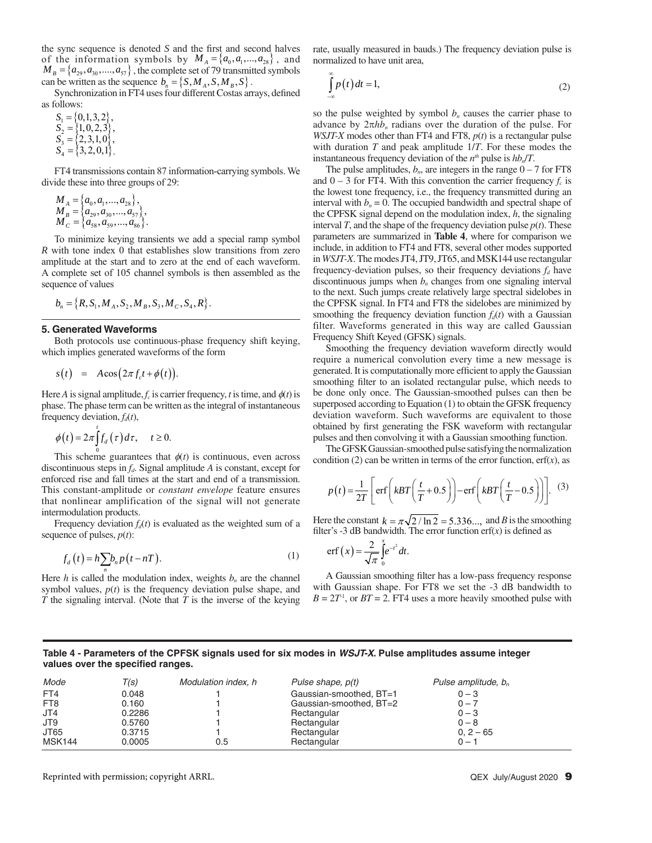the sync sequence is denoted  $S$  and the first and second halves of the information symbols by  $M_A = \{a_0, a_1, ..., a_{28}\}\,$ , and  $M_B = \{a_{29}, a_{30}, \dots, a_{57}\}\,$ , the complete set of 79 transmitted symbols can be written as the sequence  $b_n = \{S, M_A, S, M_B, S\}.$ 

Synchronization in FT4 uses four different Costas arrays, defined as follows:

 $S_1 = \{0,1,3,2\},\,$  $S_2 = \{1, 0, 2, 3\},\$  $S_3 = \{2,3,1,0\},\$  $S_4 = \{3, 2, 0, 1\}.$ 

FT4 transmissions contain 87 information-carrying symbols. We divide these into three groups of 29:

 $M_A = \{a_0, a_1, ..., a_{28}\},\,$  $M_{B} = \left\{ a_{29}, a_{30},..., a_{57} \right\},\,$  $\overline{M}_c = \left\{ a_{58}, a_{59}, ..., a_{86} \right\}.$ 

To minimize keying transients we add a special ramp symbol *R* with tone index 0 that establishes slow transitions from zero amplitude at the start and to zero at the end of each waveform. A complete set of 105 channel symbols is then assembled as the sequence of values

$$
b_n = \{R, S_1, M_A, S_2, M_B, S_3, M_C, S_4, R\}.
$$

## **5. Generated Waveforms**

Both protocols use continuous-phase frequency shift keying, which implies generated waveforms of the form

$$
s(t) = A\cos(2\pi f_c t + \phi(t)).
$$

Here *A* is signal amplitude,  $f_c$  is carrier frequency, *t* is time, and  $\phi(t)$  is phase. The phase term can be written as the integral of instantaneous frequency deviation,  $f_d(t)$ ,

$$
\phi(t) = 2\pi \int_0^t f_d(\tau) d\tau, \quad t \ge 0.
$$

This scheme guarantees that  $\phi(t)$  is continuous, even across discontinuous steps in  $f_d$ . Signal amplitude *A* is constant, except for enforced rise and fall times at the start and end of a transmission. This constant-amplitude or *constant envelope* feature ensures that nonlinear amplification of the signal will not generate intermodulation products.

Frequency deviation  $f_d(t)$  is evaluated as the weighted sum of a sequence of pulses,  $p(t)$ :

$$
f_a(t) = h \sum b_n p(t - nT). \tag{1}
$$

Here *h* is called the modulation index, weights  $b_n$  are the channel symbol values,  $p(t)$  is the frequency deviation pulse shape, and *T* the signaling interval. (Note that *T* is the inverse of the keying

rate, usually measured in bauds.) The frequency deviation pulse is normalized to have unit area,

$$
\int_{-\infty}^{\infty} p(t)dt = 1,
$$
\n(2)

so the pulse weighted by symbol  $b_n$  causes the carrier phase to advance by  $2\pi h b_n$  radians over the duration of the pulse. For *WSJT-X* modes other than FT4 and FT8, *p*(*t*) is a rectangular pulse with duration *T* and peak amplitude 1/*T*. For these modes the instantaneous frequency deviation of the  $n^{th}$  pulse is  $hb_n/T$ .

The pulse amplitudes,  $b_n$ , are integers in the range  $0 - 7$  for FT8 and  $0 - 3$  for FT4. With this convention the carrier frequency  $f_c$  is the lowest tone frequency, i.e., the frequency transmitted during an interval with  $b_n = 0$ . The occupied bandwidth and spectral shape of the CPFSK signal depend on the modulation index, *h*, the signaling interval *T*, and the shape of the frequency deviation pulse  $p(t)$ . These parameters are summarized in **Table 4**, where for comparison we include, in addition to FT4 and FT8, several other modes supported in *WSJT-X*. The modes JT4, JT9, JT65, and MSK144 use rectangular frequency-deviation pulses, so their frequency deviations  $f_d$  have discontinuous jumps when  $b_n$  changes from one signaling interval to the next. Such jumps create relatively large spectral sidelobes in the CPFSK signal. In FT4 and FT8 the sidelobes are minimized by smoothing the frequency deviation function  $f_d(t)$  with a Gaussian filter. Waveforms generated in this way are called Gaussian Frequency Shift Keyed (GFSK) signals.

Smoothing the frequency deviation waveform directly would require a numerical convolution every time a new message is generated. It is computationally more efficient to apply the Gaussian smoothing filter to an isolated rectangular pulse, which needs to be done only once. The Gaussian-smoothed pulses can then be superposed according to Equation (1) to obtain the GFSK frequency deviation waveform. Such waveforms are equivalent to those obtained by first generating the FSK waveform with rectangular pulses and then convolving it with a Gaussian smoothing function.

The GFSK Gaussian-smoothed pulse satisfying the normalization condition (2) can be written in terms of the error function,  $erf(x)$ , as

$$
p(t) = \frac{1}{2T} \left[ erf \left(kBT\left(\frac{t}{T} + 0.5\right)\right) - erf \left(kBT\left(\frac{t}{T} - 0.5\right)\right) \right].
$$
 (3)

Here the constant  $k = \pi \sqrt{2 / \ln 2} = 5.336...$ , and *B* is the smoothing filter's -3 dB bandwidth. The error function  $erf(x)$  is defined as

$$
\mathrm{erf}\left(x\right) = \frac{2}{\sqrt{\pi}}\int_{0}^{x} e^{-t^2} dt.
$$

A Gaussian smoothing filter has a low-pass frequency response with Gaussian shape. For FT8 we set the -3 dB bandwidth to  $B = 2T<sup>1</sup>$ , or  $BT = 2$ . FT4 uses a more heavily smoothed pulse with

# **Table 4 - Parameters of the CPFSK signals used for six modes in** *WSJT-X***. Pulse amplitudes assume integer**  values over the specified ranges.

| Mode            | T(s)   | Modulation index, h | Pulse shape, p(t)       | Pulse amplitude, $b_n$ |
|-----------------|--------|---------------------|-------------------------|------------------------|
| FT4             | 0.048  |                     | Gaussian-smoothed, BT=1 | $0 - 3$                |
| FT <sub>8</sub> | 0.160  |                     | Gaussian-smoothed, BT=2 | $0 - 7$                |
| JT4             | 0.2286 |                     | Rectangular             | $0 - 3$                |
| JT9             | 0.5760 |                     | Rectangular             | $0 - 8$                |
| JT65            | 0.3715 |                     | Rectangular             | $0.2 - 65$             |
| <b>MSK144</b>   | 0.0005 | 0.5                 | Rectangular             | $0 - 1$                |

Reprinted with permission; copyright ARRL.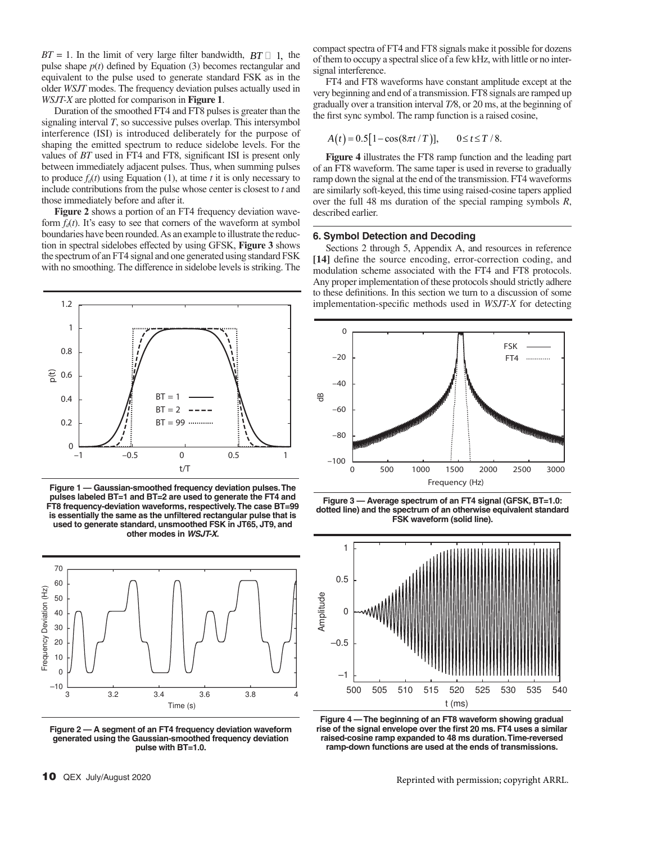$BT = 1$ . In the limit of very large filter bandwidth,  $BT \Box$  1, the pulse shape  $p(t)$  defined by Equation (3) becomes rectangular and equivalent to the pulse used to generate standard FSK as in the older *WSJT* modes. The frequency deviation pulses actually used in *WSJT-X* are plotted for comparison in **Figure 1**.

Duration of the smoothed FT4 and FT8 pulses is greater than the signaling interval *T*, so successive pulses overlap. This intersymbol interference (ISI) is introduced deliberately for the purpose of shaping the emitted spectrum to reduce sidelobe levels. For the values of *BT* used in FT4 and FT8, significant ISI is present only between immediately adjacent pulses. Thus, when summing pulses to produce  $f_d(t)$  using Equation (1), at time *t* it is only necessary to include contributions from the pulse whose center is closest to *t* and those immediately before and after it.

**Figure 2** shows a portion of an FT4 frequency deviation waveform  $f_d(t)$ . It's easy to see that corners of the waveform at symbol boundaries have been rounded. As an example to illustrate the reduction in spectral sidelobes eff ected by using GFSK, **Figure 3** shows the spectrum of an FT4 signal and one generated using standard FSK with no smoothing. The difference in sidelobe levels is striking. The



**Figure 1 — Gaussian-smoothed frequency deviation pulses. The pulses labeled BT=1 and BT=2 are used to generate the FT4 and FT8 frequency-deviation waveforms, respectively. The case BT=99 is essentially the same as the unfiltered rectangular pulse that is used to generate standard, unsmoothed FSK in JT65, JT9, and other modes in** *WSJT-X***.**



**Figure 2 — A segment of an FT4 frequency deviation waveform generated using the Gaussian-smoothed frequency deviation pulse with BT=1.0.**

compact spectra of FT4 and FT8 signals make it possible for dozens of them to occupy a spectral slice of a few kHz, with little or no intersignal interference.

FT4 and FT8 waveforms have constant amplitude except at the very beginning and end of a transmission. FT8 signals are ramped up gradually over a transition interval *T/*8, or 20 ms, at the beginning of the first sync symbol. The ramp function is a raised cosine,

$$
A(t) = 0.5[1 - \cos(8\pi t/T)], \qquad 0 \le t \le T/8.
$$

**Figure 4** illustrates the FT8 ramp function and the leading part of an FT8 waveform. The same taper is used in reverse to gradually ramp down the signal at the end of the transmission. FT4 waveforms are similarly soft-keyed, this time using raised-cosine tapers applied over the full 48 ms duration of the special ramping symbols *R*, described earlier.

# **6. Symbol Detection and Decoding**

Sections 2 through 5, Appendix A, and resources in reference **[14]** define the source encoding, error-correction coding, and modulation scheme associated with the FT4 and FT8 protocols. Any proper implementation of these protocols should strictly adhere to these definitions. In this section we turn to a discussion of some implementation-specific methods used in *WSJT-X* for detecting



**Figure 3 — Average spectrum of an FT4 signal (GFSK, BT=1.0: dotted line) and the spectrum of an otherwise equivalent standard FSK waveform (solid line).**



**Figure 4 — The beginning of an FT8 waveform showing gradual**  rise of the signal envelope over the first 20 ms. FT4 uses a similar **raised-cosine ramp expanded to 48 ms duration. Time-reversed ramp-down functions are used at the ends of transmissions.**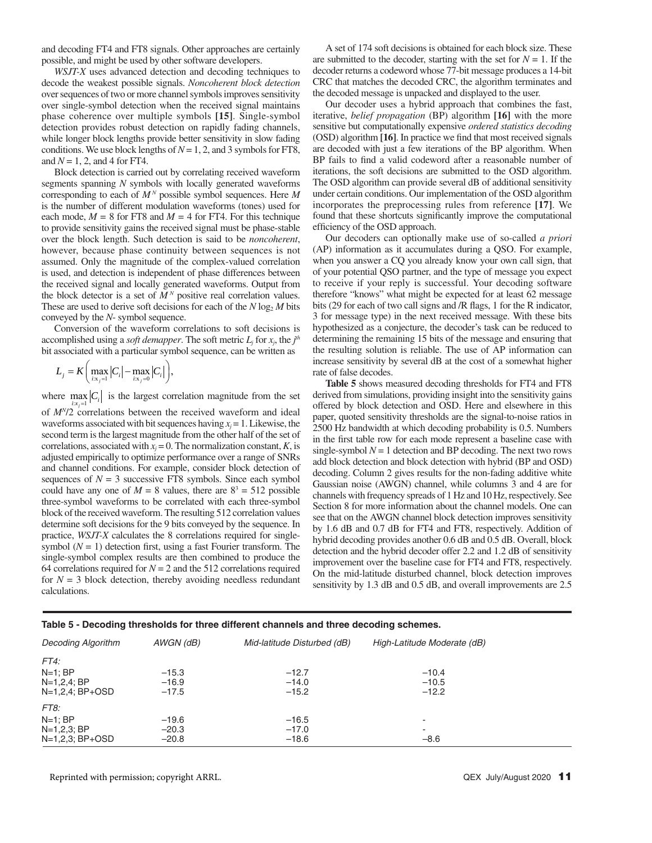and decoding FT4 and FT8 signals. Other approaches are certainly possible, and might be used by other software developers.

*WSJT-X* uses advanced detection and decoding techniques to decode the weakest possible signals. *Noncoherent block detection* over sequences of two or more channel symbols improves sensitivity over single-symbol detection when the received signal maintains phase coherence over multiple symbols **[15]**. Single-symbol detection provides robust detection on rapidly fading channels, while longer block lengths provide better sensitivity in slow fading conditions. We use block lengths of  $N = 1, 2$ , and 3 symbols for FT8, and *N* = 1, 2, and 4 for FT4.

Block detection is carried out by correlating received waveform segments spanning *N* symbols with locally generated waveforms corresponding to each of *M N* possible symbol sequences. Here *M* is the number of different modulation waveforms (tones) used for each mode,  $M = 8$  for FT8 and  $M = 4$  for FT4. For this technique to provide sensitivity gains the received signal must be phase-stable over the block length. Such detection is said to be *noncoherent*, however, because phase continuity between sequences is not assumed. Only the magnitude of the complex-valued correlation is used, and detection is independent of phase differences between the received signal and locally generated waveforms. Output from the block detector is a set of  $M<sup>N</sup>$  positive real correlation values. These are used to derive soft decisions for each of the  $N \log_2 M$  bits conveyed by the *N*- symbol sequence.

Conversion of the waveform correlations to soft decisions is accomplished using a *soft demapper*. The soft metric  $L_j$  for  $x_j$ , the  $j<sup>th</sup>$ bit associated with a particular symbol sequence, can be written as

$$
L_j = K \bigg( \max_{i: x_j=1} |C_i| - \max_{i: x_j=0} |C_i| \bigg),
$$

where  $\max_{i:x_j=1} |C_i|$  is the largest correlation magnitude from the set

of *MN*/2 correlations between the received waveform and ideal waveforms associated with bit sequences having  $x_j = 1$ . Likewise, the second term is the largest magnitude from the other half of the set of correlations, associated with  $x_j = 0$ . The normalization constant, *K*, is adjusted empirically to optimize performance over a range of SNRs and channel conditions. For example, consider block detection of sequences of  $N = 3$  successive FT8 symbols. Since each symbol could have any one of  $M = 8$  values, there are  $8^3 = 512$  possible three-symbol waveforms to be correlated with each three-symbol block of the received waveform. The resulting 512 correlation values determine soft decisions for the 9 bits conveyed by the sequence. In practice, *WSJT-X* calculates the 8 correlations required for singlesymbol  $(N = 1)$  detection first, using a fast Fourier transform. The single-symbol complex results are then combined to produce the 64 correlations required for  $N = 2$  and the 512 correlations required for  $N = 3$  block detection, thereby avoiding needless redundant calculations.

A set of 174 soft decisions is obtained for each block size. These are submitted to the decoder, starting with the set for  $N = 1$ . If the decoder returns a codeword whose 77-bit message produces a 14-bit CRC that matches the decoded CRC, the algorithm terminates and the decoded message is unpacked and displayed to the user.

Our decoder uses a hybrid approach that combines the fast, iterative, *belief propagation* (BP) algorithm **[16]** with the more sensitive but computationally expensive *ordered statistics decoding*  (OSD) algorithm [16]. In practice we find that most received signals are decoded with just a few iterations of the BP algorithm. When BP fails to find a valid codeword after a reasonable number of iterations, the soft decisions are submitted to the OSD algorithm. The OSD algorithm can provide several dB of additional sensitivity under certain conditions. Our implementation of the OSD algorithm incorporates the preprocessing rules from reference **[17]**. We found that these shortcuts significantly improve the computational efficiency of the OSD approach.

Our decoders can optionally make use of so-called *a priori* (AP) information as it accumulates during a QSO. For example, when you answer a CQ you already know your own call sign, that of your potential QSO partner, and the type of message you expect to receive if your reply is successful. Your decoding software therefore "knows" what might be expected for at least 62 message bits (29 for each of two call signs and  $/R$  flags, 1 for the R indicator, 3 for message type) in the next received message. With these bits hypothesized as a conjecture, the decoder's task can be reduced to determining the remaining 15 bits of the message and ensuring that the resulting solution is reliable. The use of AP information can increase sensitivity by several dB at the cost of a somewhat higher rate of false decodes.

**Table 5** shows measured decoding thresholds for FT4 and FT8 derived from simulations, providing insight into the sensitivity gains offered by block detection and OSD. Here and elsewhere in this paper, quoted sensitivity thresholds are the signal-to-noise ratios in 2500 Hz bandwidth at which decoding probability is 0.5. Numbers in the first table row for each mode represent a baseline case with single-symbol  $N = 1$  detection and BP decoding. The next two rows add block detection and block detection with hybrid (BP and OSD) decoding. Column 2 gives results for the non-fading additive white Gaussian noise (AWGN) channel, while columns 3 and 4 are for channels with frequency spreads of 1 Hz and 10 Hz, respectively. See Section 8 for more information about the channel models. One can see that on the AWGN channel block detection improves sensitivity by 1.6 dB and 0.7 dB for FT4 and FT8, respectively. Addition of hybrid decoding provides another 0.6 dB and 0.5 dB. Overall, block detection and the hybrid decoder offer 2.2 and 1.2 dB of sensitivity improvement over the baseline case for FT4 and FT8, respectively. On the mid-latitude disturbed channel, block detection improves sensitivity by 1.3 dB and 0.5 dB, and overall improvements are 2.5

| Table 5 - Decoding thresholds for three different channels and three decoding schemes. |  |  |  |  |
|----------------------------------------------------------------------------------------|--|--|--|--|
|                                                                                        |  |  |  |  |

| Decoding Algorithm                                   | AWGN (dB)                     | Mid-latitude Disturbed (dB)   | High-Latitude Moderate (dB)   |  |
|------------------------------------------------------|-------------------------------|-------------------------------|-------------------------------|--|
| FT4:                                                 |                               |                               |                               |  |
| $N=1$ ; BP<br>N=1,2,4; BP<br>N=1,2,4; BP+OSD         | $-15.3$<br>$-16.9$<br>$-17.5$ | $-12.7$<br>$-14.0$<br>$-15.2$ | $-10.4$<br>$-10.5$<br>$-12.2$ |  |
| FT8:<br>$N=1$ : BP<br>N=1,2,3; BP<br>N=1,2,3; BP+OSD | $-19.6$<br>$-20.3$<br>$-20.8$ | $-16.5$<br>$-17.0$<br>$-18.6$ | -<br>٠<br>$-8.6$              |  |

Reprinted with permission; copyright ARRL.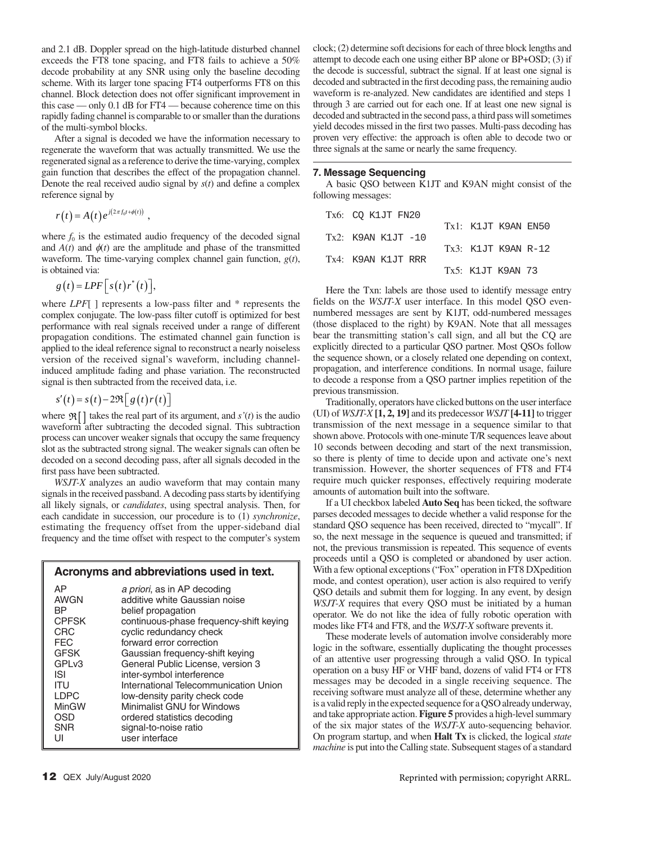and 2.1 dB. Doppler spread on the high-latitude disturbed channel exceeds the FT8 tone spacing, and FT8 fails to achieve a 50% decode probability at any SNR using only the baseline decoding scheme. With its larger tone spacing FT4 outperforms FT8 on this channel. Block detection does not offer significant improvement in this case — only 0.1 dB for FT4 — because coherence time on this rapidly fading channel is comparable to or smaller than the durations of the multi-symbol blocks.

After a signal is decoded we have the information necessary to regenerate the waveform that was actually transmitted. We use the regenerated signal as a reference to derive the time-varying, complex gain function that describes the effect of the propagation channel. Denote the real received audio signal by  $s(t)$  and define a complex reference signal by

$$
r(t) = A(t) e^{j(2\pi f_0 t + \phi(t))},
$$

where  $f_0$  is the estimated audio frequency of the decoded signal and  $A(t)$  and  $\phi(t)$  are the amplitude and phase of the transmitted waveform. The time-varying complex channel gain function, *g*(*t*), is obtained via:

$$
g(t) = LPF\Big[ s(t) r^*(t) \Big],
$$

where *LPF*[ ] represents a low-pass filter and \* represents the complex conjugate. The low-pass filter cutoff is optimized for best performance with real signals received under a range of different propagation conditions. The estimated channel gain function is applied to the ideal reference signal to reconstruct a nearly noiseless version of the received signal's waveform, including channelinduced amplitude fading and phase variation. The reconstructed signal is then subtracted from the received data, i.e.

$$
s'(t) = s(t) - 2\Re\left[g(t)r(t)\right]
$$

where  $\mathfrak{R}$   $\left[ \right]$  takes the real part of its argument, and *s'(t)* is the audio waveform after subtracting the decoded signal. This subtraction process can uncover weaker signals that occupy the same frequency slot as the subtracted strong signal. The weaker signals can often be decoded on a second decoding pass, after all signals decoded in the first pass have been subtracted.

*WSJT-X* analyzes an audio waveform that may contain many signals in the received passband. A decoding pass starts by identifying all likely signals, or *candidates*, using spectral analysis. Then, for each candidate in succession, our procedure is to (1) *synchronize*, estimating the frequency offset from the upper-sideband dial frequency and the time offset with respect to the computer's system

# **Acronyms and abbreviations used in text.**

| ΑP                | a priori, as in AP decoding             |
|-------------------|-----------------------------------------|
| <b>AWGN</b>       | additive white Gaussian noise           |
| ВP                | belief propagation                      |
| <b>CPFSK</b>      | continuous-phase frequency-shift keying |
| CRC               | cyclic redundancy check                 |
| <b>FEC</b>        | forward error correction                |
| <b>GFSK</b>       | Gaussian frequency-shift keying         |
| GPL <sub>v3</sub> | General Public License, version 3       |
| ISI               | inter-symbol interference               |
| ITU               | International Telecommunication Union   |
| <b>LDPC</b>       | low-density parity check code           |
| MinGW             | Minimalist GNU for Windows              |
| OSD               | ordered statistics decoding             |
| <b>SNR</b>        | signal-to-noise ratio                   |
| UI                | user interface                          |

clock; (2) determine soft decisions for each of three block lengths and attempt to decode each one using either BP alone or BP+OSD; (3) if the decode is successful, subtract the signal. If at least one signal is decoded and subtracted in the first decoding pass, the remaining audio waveform is re-analyzed. New candidates are identified and steps 1 through 3 are carried out for each one. If at least one new signal is decoded and subtracted in the second pass, a third pass will sometimes yield decodes missed in the first two passes. Multi-pass decoding has proven very effective: the approach is often able to decode two or three signals at the same or nearly the same frequency.

# **7. Message Sequencing**

A basic QSO between K1JT and K9AN might consist of the following messages:

| Tx6: CO K1JT FN20      |                     |  |
|------------------------|---------------------|--|
|                        | Tx1: K1JT K9AN EN50 |  |
| $Tx2:$ K9AN K1JT $-10$ |                     |  |
|                        | Tx3: K1JT K9AN R-12 |  |
| Tx4: K9AN K1JT RRR     |                     |  |
|                        | Tx5: K1JT K9AN 73   |  |

Here the Txn: labels are those used to identify message entry fields on the *WSJT-X* user interface. In this model QSO evennumbered messages are sent by K1JT, odd-numbered messages (those displaced to the right) by K9AN. Note that all messages bear the transmitting station's call sign, and all but the CQ are explicitly directed to a particular QSO partner. Most QSOs follow the sequence shown, or a closely related one depending on context, propagation, and interference conditions. In normal usage, failure to decode a response from a QSO partner implies repetition of the previous transmission.

Traditionally, operators have clicked buttons on the user interface (UI) of *WSJT-X* **[1, 2, 19]** and its predecessor *WSJT* **[4-11]** to trigger transmission of the next message in a sequence similar to that shown above. Protocols with one-minute T/R sequences leave about 10 seconds between decoding and start of the next transmission, so there is plenty of time to decide upon and activate one's next transmission. However, the shorter sequences of FT8 and FT4 require much quicker responses, effectively requiring moderate amounts of automation built into the software.

If a UI checkbox labeled **Auto Seq** has been ticked, the software parses decoded messages to decide whether a valid response for the standard QSO sequence has been received, directed to "mycall". If so, the next message in the sequence is queued and transmitted; if not, the previous transmission is repeated. This sequence of events proceeds until a QSO is completed or abandoned by user action. With a few optional exceptions ("Fox" operation in FT8 DXpedition mode, and contest operation), user action is also required to verify QSO details and submit them for logging. In any event, by design *WSJT-X* requires that every QSO must be initiated by a human operator. We do not like the idea of fully robotic operation with modes like FT4 and FT8, and the *WSJT-X* software prevents it.

These moderate levels of automation involve considerably more logic in the software, essentially duplicating the thought processes of an attentive user progressing through a valid QSO. In typical operation on a busy HF or VHF band, dozens of valid FT4 or FT8 messages may be decoded in a single receiving sequence. The receiving software must analyze all of these, determine whether any is a valid reply in the expected sequence for a QSO already underway, and take appropriate action. **Figure 5** provides a high-level summary of the six major states of the *WSJT-X* auto-sequencing behavior. On program startup, and when **Halt Tx** is clicked, the logical *state machine* is put into the Calling state. Subsequent stages of a standard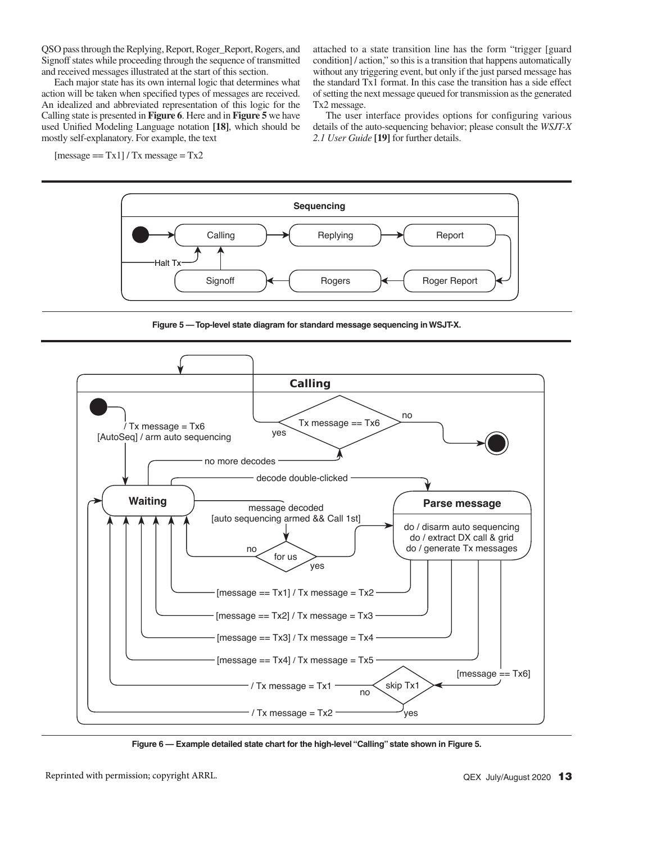QSO pass through the Replying, Report, Roger\_Report, Rogers, and Signoff states while proceeding through the sequence of transmitted and received messages illustrated at the start of this section.

Each major state has its own internal logic that determines what action will be taken when specified types of messages are received. An idealized and abbreviated representation of this logic for the Calling state is presented in **Figure 6**. Here and in **Figure 5** we have used Unified Modeling Language notation [18], which should be mostly self-explanatory. For example, the text

 $[message == Tx1] / Tx message = Tx2$ 

attached to a state transition line has the form "trigger [guard condition] / action," so this is a transition that happens automatically without any triggering event, but only if the just parsed message has the standard Tx1 format. In this case the transition has a side effect of setting the next message queued for transmission as the generated Tx2 message.

The user interface provides options for configuring various details of the auto-sequencing behavior; please consult the *WSJT-X 2.1 User Guide* **[19]** for further details.



**Figure 5 — Top-level state diagram for standard message sequencing in WSJT-X.**



**Figure 6 — Example detailed state chart for the high-level "Calling" state shown in Figure 5.**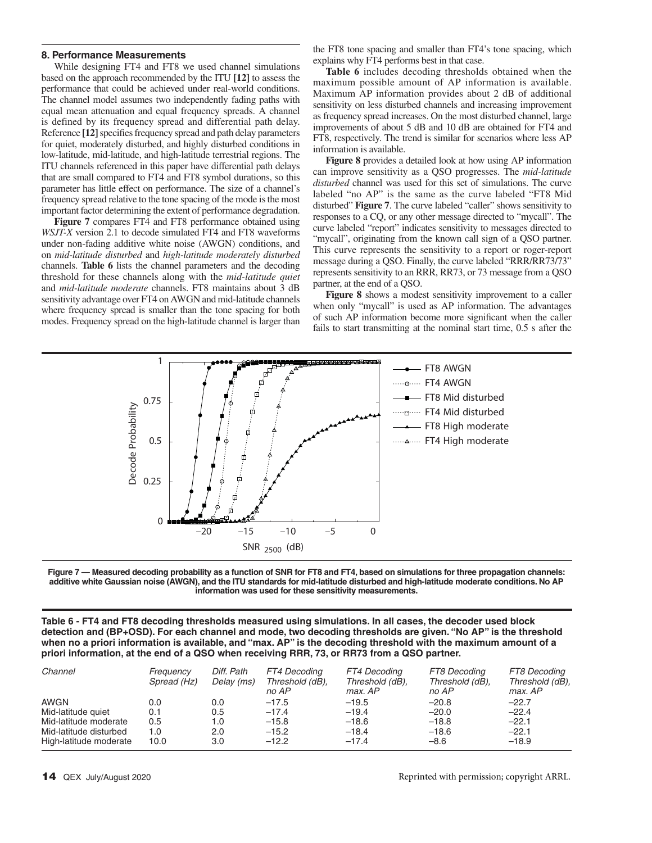#### **8. Performance Measurements**

While designing FT4 and FT8 we used channel simulations based on the approach recommended by the ITU **[12]** to assess the performance that could be achieved under real-world conditions. The channel model assumes two independently fading paths with equal mean attenuation and equal frequency spreads. A channel is defined by its frequency spread and differential path delay. Reference [12] specifies frequency spread and path delay parameters for quiet, moderately disturbed, and highly disturbed conditions in low-latitude, mid-latitude, and high-latitude terrestrial regions. The ITU channels referenced in this paper have differential path delays that are small compared to FT4 and FT8 symbol durations, so this parameter has little effect on performance. The size of a channel's frequency spread relative to the tone spacing of the mode is the most important factor determining the extent of performance degradation.

**Figure 7** compares FT4 and FT8 performance obtained using *WSJT-X* version 2.1 to decode simulated FT4 and FT8 waveforms under non-fading additive white noise (AWGN) conditions, and on *mid-latitude disturbed* and *high-latitude moderately disturbed* channels. **Table 6** lists the channel parameters and the decoding threshold for these channels along with the *mid-latitude quiet* and *mid-latitude moderate* channels. FT8 maintains about 3 dB sensitivity advantage over FT4 on AWGN and mid-latitude channels where frequency spread is smaller than the tone spacing for both modes. Frequency spread on the high-latitude channel is larger than the FT8 tone spacing and smaller than FT4's tone spacing, which explains why FT4 performs best in that case.

**Table 6** includes decoding thresholds obtained when the maximum possible amount of AP information is available. Maximum AP information provides about 2 dB of additional sensitivity on less disturbed channels and increasing improvement as frequency spread increases. On the most disturbed channel, large improvements of about 5 dB and 10 dB are obtained for FT4 and FT8, respectively. The trend is similar for scenarios where less AP information is available.

**Figure 8** provides a detailed look at how using AP information can improve sensitivity as a QSO progresses. The *mid-latitude disturbed* channel was used for this set of simulations. The curve labeled "no AP" is the same as the curve labeled "FT8 Mid disturbed" **Figure 7**. The curve labeled "caller" shows sensitivity to responses to a CQ, or any other message directed to "mycall". The curve labeled "report" indicates sensitivity to messages directed to "mycall", originating from the known call sign of a OSO partner. This curve represents the sensitivity to a report or roger-report message during a QSO. Finally, the curve labeled "RRR/RR73/73" represents sensitivity to an RRR, RR73, or 73 message from a QSO partner, at the end of a QSO.

**Figure 8** shows a modest sensitivity improvement to a caller when only "mycall" is used as AP information. The advantages of such AP information become more significant when the caller fails to start transmitting at the nominal start time, 0.5 s after the



**Figure 7 — Measured decoding probability as a function of SNR for FT8 and FT4, based on simulations for three propagation channels: additive white Gaussian noise (AWGN), and the ITU standards for mid-latitude disturbed and high-latitude moderate conditions. No AP information was used for these sensitivity measurements.**

**Table 6 - FT4 and FT8 decoding thresholds measured using simulations. In all cases, the decoder used block detection and (BP+OSD). For each channel and mode, two decoding thresholds are given. "No AP" is the threshold when no a priori information is available, and "max. AP" is the decoding threshold with the maximum amount of a priori information, at the end of a QSO when receiving RRR, 73, or RR73 from a QSO partner.**

| Channel                | Frequency<br>Spread (Hz) | Diff. Path<br>Delay (ms) | FT4 Decoding<br>Threshold (dB),<br>no AP | FT4 Decoding<br>Threshold (dB),<br>max. AP | FT8 Decoding<br>Threshold (dB),<br>no AP | FT8 Decoding<br>Threshold (dB),<br>max. AP |
|------------------------|--------------------------|--------------------------|------------------------------------------|--------------------------------------------|------------------------------------------|--------------------------------------------|
| <b>AWGN</b>            | 0.0                      | 0.0                      | $-17.5$                                  | $-19.5$                                    | $-20.8$                                  | $-22.7$                                    |
| Mid-latitude quiet     | 0.1                      | 0.5                      | $-17.4$                                  | $-19.4$                                    | $-20.0$                                  | $-22.4$                                    |
| Mid-latitude moderate  | 0.5                      | 1.0                      | $-15.8$                                  | $-18.6$                                    | $-18.8$                                  | $-22.1$                                    |
| Mid-latitude disturbed | 1.0                      | 2.0                      | $-15.2$                                  | $-18.4$                                    | $-18.6$                                  | $-22.1$                                    |
| High-latitude moderate | 10.0                     | 3.0                      | $-12.2$                                  | $-17.4$                                    | $-8.6$                                   | $-18.9$                                    |

Reprinted with permission; copyright ARRL.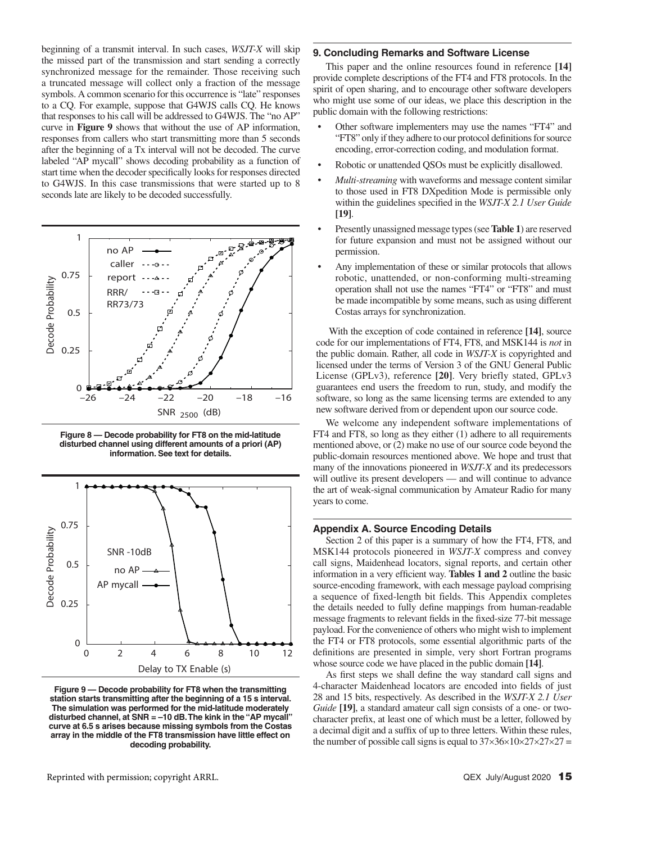beginning of a transmit interval. In such cases, *WSJT-X* will skip the missed part of the transmission and start sending a correctly synchronized message for the remainder. Those receiving such a truncated message will collect only a fraction of the message symbols. A common scenario for this occurrence is "late" responses to a CQ. For example, suppose that G4WJS calls CQ. He knows that responses to his call will be addressed to G4WJS. The "no AP" curve in **Figure 9** shows that without the use of AP information, responses from callers who start transmitting more than 5 seconds after the beginning of a Tx interval will not be decoded. The curve labeled "AP mycall" shows decoding probability as a function of start time when the decoder specifically looks for responses directed to G4WJS. In this case transmissions that were started up to 8 seconds late are likely to be decoded successfully.



**Figure 8 — Decode probability for FT8 on the mid-latitude disturbed channel using different amounts of a priori (AP) information. See text for details.**



**Figure 9 — Decode probability for FT8 when the transmitting station starts transmitting after the beginning of a 15 s interval. The simulation was performed for the mid-latitude moderately disturbed channel, at SNR = –10 dB. The kink in the "AP mycall" curve at 6.5 s arises because missing symbols from the Costas array in the middle of the FT8 transmission have little effect on decoding probability.**

# **9. Concluding Remarks and Software License**

This paper and the online resources found in reference **[14]** provide complete descriptions of the FT4 and FT8 protocols. In the spirit of open sharing, and to encourage other software developers who might use some of our ideas, we place this description in the public domain with the following restrictions:

- Other software implementers may use the names "FT4" and "FT8" only if they adhere to our protocol definitions for source encoding, error-correction coding, and modulation format.
- Robotic or unattended QSOs must be explicitly disallowed.
- *Multi-streaming* with waveforms and message content similar to those used in FT8 DXpedition Mode is permissible only within the guidelines specified in the *WSJT-X 2.1 User Guide* **[19]**.
- Presently unassigned message types (see **Table 1**) are reserved for future expansion and must not be assigned without our permission.
- Any implementation of these or similar protocols that allows robotic, unattended, or non-conforming multi-streaming operation shall not use the names "FT4" or "FT8" and must be made incompatible by some means, such as using different Costas arrays for synchronization.

With the exception of code contained in reference **[14]**, source code for our implementations of FT4, FT8, and MSK144 is *not* in the public domain. Rather, all code in *WSJT-X* is copyrighted and licensed under the terms of Version 3 of the GNU General Public License (GPLv3), reference **[20]**. Very briefly stated, GPLv3 guarantees end users the freedom to run, study, and modify the software, so long as the same licensing terms are extended to any new software derived from or dependent upon our source code.

We welcome any independent software implementations of FT4 and FT8, so long as they either (1) adhere to all requirements mentioned above, or (2) make no use of our source code beyond the public-domain resources mentioned above. We hope and trust that many of the innovations pioneered in *WSJT-X* and its predecessors will outlive its present developers — and will continue to advance the art of weak-signal communication by Amateur Radio for many years to come.

# **Appendix A. Source Encoding Details**

Section 2 of this paper is a summary of how the FT4, FT8, and MSK144 protocols pioneered in *WSJT-X* compress and convey call signs, Maidenhead locators, signal reports, and certain other information in a very efficient way. **Tables 1 and 2** outline the basic source-encoding framework, with each message payload comprising a sequence of fixed-length bit fields. This Appendix completes the details needed to fully define mappings from human-readable message fragments to relevant fields in the fixed-size 77-bit message payload. For the convenience of others who might wish to implement the FT4 or FT8 protocols, some essential algorithmic parts of the definitions are presented in simple, very short Fortran programs whose source code we have placed in the public domain **[14]**.

As first steps we shall define the way standard call signs and 4-character Maidenhead locators are encoded into fields of just 28 and 15 bits, respectively. As described in the *WSJT-X 2.1 User Guide* **[19]**, a standard amateur call sign consists of a one- or twocharacter prefix, at least one of which must be a letter, followed by a decimal digit and a suffix of up to three letters. Within these rules, the number of possible call signs is equal to  $37\times36\times10\times27\times27\times27$  =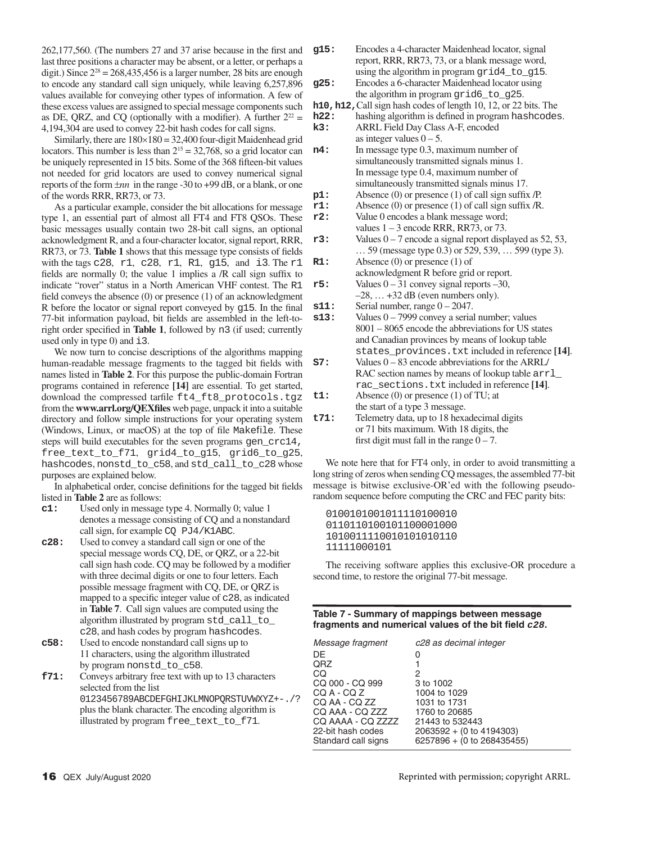$262,177,560$ . (The numbers 27 and 37 arise because in the first and last three positions a character may be absent, or a letter, or perhaps a digit.) Since  $2^{28} = 268,435,456$  is a larger number, 28 bits are enough to encode any standard call sign uniquely, while leaving 6,257,896 values available for conveying other types of information. A few of these excess values are assigned to special message components such as DE, QRZ, and CQ (optionally with a modifier). A further  $2^{22} =$ 4,194,304 are used to convey 22-bit hash codes for call signs.

Similarly, there are  $180\times180 = 32,400$  four-digit Maidenhead grid locators. This number is less than  $2^{15} = 32,768$ , so a grid locator can be uniquely represented in 15 bits. Some of the 368 fifteen-bit values not needed for grid locators are used to convey numerical signal reports of the form  $\pm nn$  in the range -30 to +99 dB, or a blank, or one of the words RRR, RR73, or 73.

As a particular example, consider the bit allocations for message type 1, an essential part of almost all FT4 and FT8 QSOs. These basic messages usually contain two 28-bit call signs, an optional acknowledgment R, and a four-character locator, signal report, RRR, RR73, or 73. Table 1 shows that this message type consists of fields with the tags c28, r1, c28, r1, R1, g15, and i3. The r1 fields are normally 0; the value 1 implies a  $/R$  call sign suffix to indicate "rover" status in a North American VHF contest. The R1 field conveys the absence  $(0)$  or presence  $(1)$  of an acknowledgment R before the locator or signal report conveyed by  $g15$ . In the final 77-bit information payload, bit fields are assembled in the left-toright order specified in **Table 1**, followed by n3 (if used; currently used only in type 0) and i3.

We now turn to concise descriptions of the algorithms mapping human-readable message fragments to the tagged bit fields with names listed in **Table 2**. For this purpose the public-domain Fortran programs contained in reference **[14]** are essential. To get started, download the compressed tarfile ft4\_ft8\_protocols.tgz from the **www.arrl.org/QEXfiles** web page, unpack it into a suitable directory and follow simple instructions for your operating system (Windows, Linux, or macOS) at the top of file Makefile. These steps will build executables for the seven programs gen\_crc14, free text to f71, grid4 to g15, grid6 to g25, hashcodes, nonstd to c58, and std call to c28 whose purposes are explained below.

In alphabetical order, concise definitions for the tagged bit fields listed in **Table 2** are as follows:

- **c1:** Used only in message type 4. Normally 0; value 1 denotes a message consisting of CQ and a nonstandard call sign, for example CO PJ4/K1ABC.
- **c28:** Used to convey a standard call sign or one of the special message words CQ, DE, or QRZ, or a 22-bit call sign hash code. CO may be followed by a modifier with three decimal digits or one to four letters. Each possible message fragment with CQ, DE, or QRZ is mapped to a specific integer value of  $c28$ , as indicated in **Table 7**. Call sign values are computed using the algorithm illustrated by program std\_call\_to\_ c28, and hash codes by program hashcodes.
- **c58:** Used to encode nonstandard call signs up to 11 characters, using the algorithm illustrated by program nonstd\_to\_c58.
- **f71:** Conveys arbitrary free text with up to 13 characters selected from the list 0123456789ABCDEFGHIJKLMNOPQRSTUVWXYZ+-./? plus the blank character. The encoding algorithm is illustrated by program free\_text\_to\_f71.

**g15:** Encodes a 4-character Maidenhead locator, signal report, RRR, RR73, 73, or a blank message word, using the algorithm in program grid4 to q15. **g25:** Encodes a 6-character Maidenhead locator using the algorithm in program grid6\_to\_g25.

**h10, h12, Call sign hash codes of length 10, 12, or 22 bits. The <b>h22**: hashing algorithm is defined in program hashcodes hashing algorithm is defined in program hashcodes. **k3:** ARRL Field Day Class A-F, encoded as integer values  $0 - 5$ . **n4:** In message type 0.3, maximum number of simultaneously transmitted signals minus 1. In message type 0.4, maximum number of simultaneously transmitted signals minus 17. **p1:** Absence (0) or presence (1) of call sign suffix /P. **r1:** Absence (0) or presence (1) of call sign suffix /R. **r2:** Value 0 encodes a blank message word; values  $1 - 3$  encode RRR, RR73, or 73. **r3:** Values  $0 - 7$  encode a signal report displayed as 52, 53, … 59 (message type 0.3) or 529, 539, … 599 (type 3). **R1:** Absence (0) or presence (1) of acknowledgment R before grid or report. **r5:** Values 0 – 31 convey signal reports –30,  $-28$ ,  $\ldots$  +32 dB (even numbers only). **s11:** Serial number, range  $0 - 2047$ . **s13:** Values  $0 - 7999$  convey a serial number; values 8001 – 8065 encode the abbreviations for US states and Canadian provinces by means of lookup table states\_provinces.txt included in reference **[14]**. **S7:** Values 0 – 83 encode abbreviations for the ARRL/ RAC section names by means of lookup table  $\arctan 1$ rac\_sections.txt included in reference **[14]**. **t1:** Absence (0) or presence (1) of TU; at the start of a type 3 message. **t71:** Telemetry data, up to 18 hexadecimal digits or 71 bits maximum. With 18 digits, the first digit must fall in the range  $0 - 7$ .

We note here that for FT4 only, in order to avoid transmitting a long string of zeros when sending CQ messages, the assembled 77-bit message is bitwise exclusive-OR'ed with the following pseudorandom sequence before computing the CRC and FEC parity bits:

0100101001011110100010 0110110100101100001000 1010011110010101010110 11111000101

The receiving software applies this exclusive-OR procedure a second time, to restore the original 77-bit message.

# **Table 7 - Summary of mappings between message**  fragments and numerical values of the bit field  $c28$ .

| Message fragment    | c28 as decimal integer     |
|---------------------|----------------------------|
| DF                  | 0                          |
| <b>QRZ</b>          |                            |
| CQ                  | 2                          |
| CQ 000 - CQ 999     | 3 to 1002                  |
| CQ A - CQ Z         | 1004 to 1029               |
| CO AA - CO ZZ       | 1031 to 1731               |
| CO AAA - CO ZZZ     | 1760 to 20685              |
| CO AAAA - CO ZZZZ   | 21443 to 532443            |
| 22-bit hash codes   | 2063592 + (0 to 4194303)   |
| Standard call signs | 6257896 + (0 to 268435455) |